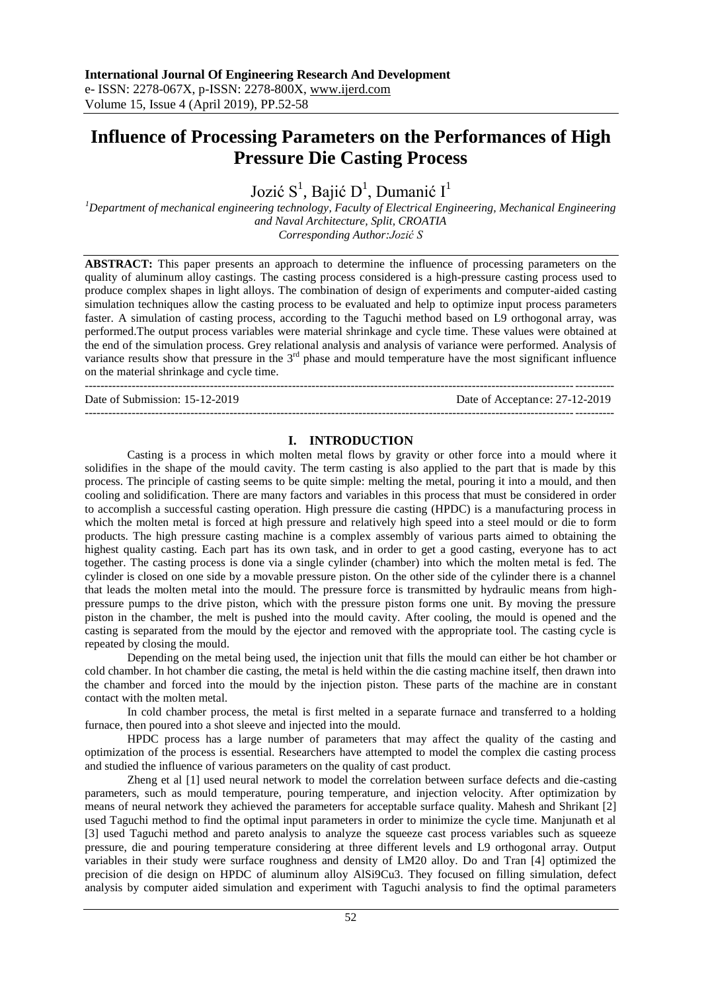# **Influence of Processing Parameters on the Performances of High Pressure Die Casting Process**

Jozić  $S^1$ , Bajić D<sup>1</sup>, Dumanić I<sup>1</sup>

*<sup>1</sup>Department of mechanical engineering technology, Faculty of Electrical Engineering, Mechanical Engineering and Naval Architecture, Split, CROATIA Corresponding Author:Jozić S*

**ABSTRACT:** This paper presents an approach to determine the influence of processing parameters on the quality of aluminum alloy castings. The casting process considered is a high-pressure casting process used to produce complex shapes in light alloys. The combination of design of experiments and computer-aided casting simulation techniques allow the casting process to be evaluated and help to optimize input process parameters faster. A simulation of casting process, according to the Taguchi method based on L9 orthogonal array, was performed.The output process variables were material shrinkage and cycle time. These values were obtained at the end of the simulation process. Grey relational analysis and analysis of variance were performed. Analysis of variance results show that pressure in the 3<sup>rd</sup> phase and mould temperature have the most significant influence on the material shrinkage and cycle time.

---------------------------------------------------------------------------------------------------------------------------------------

Date of Submission: 15-12-2019 Date of Acceptance: 27-12-2019

## **I. INTRODUCTION**

Casting is a process in which molten metal flows by gravity or other force into a mould where it solidifies in the shape of the mould cavity. The term casting is also applied to the part that is made by this process. The principle of casting seems to be quite simple: melting the metal, pouring it into a mould, and then cooling and solidification. There are many factors and variables in this process that must be considered in order to accomplish a successful casting operation. High pressure die casting (HPDC) is a manufacturing process in which the molten metal is forced at high pressure and relatively high speed into a steel mould or die to form products. The high pressure casting machine is a complex assembly of various parts aimed to obtaining the highest quality casting. Each part has its own task, and in order to get a good casting, everyone has to act together. The casting process is done via a single cylinder (chamber) into which the molten metal is fed. The cylinder is closed on one side by a movable pressure piston. On the other side of the cylinder there is a channel that leads the molten metal into the mould. The pressure force is transmitted by hydraulic means from highpressure pumps to the drive piston, which with the pressure piston forms one unit. By moving the pressure piston in the chamber, the melt is pushed into the mould cavity. After cooling, the mould is opened and the casting is separated from the mould by the ejector and removed with the appropriate tool. The casting cycle is repeated by closing the mould.

Depending on the metal being used, the injection unit that fills the mould can either be hot chamber or cold chamber. In hot chamber die casting, the metal is held within the die casting machine itself, then drawn into the chamber and forced into the mould by the injection piston. These parts of the machine are in constant contact with the molten metal.

In cold chamber process, the metal is first melted in a separate furnace and transferred to a holding furnace, then poured into a shot sleeve and injected into the mould.

HPDC process has a large number of parameters that may affect the quality of the casting and optimization of the process is essential. Researchers have attempted to model the complex die casting process and studied the influence of various parameters on the quality of cast product.

Zheng et al [1] used neural network to model the correlation between surface defects and die-casting parameters, such as mould temperature, pouring temperature, and injection velocity. After optimization by means of neural network they achieved the parameters for acceptable surface quality. Mahesh and Shrikant [2] used Taguchi method to find the optimal input parameters in order to minimize the cycle time. Manjunath et al [3] used Taguchi method and pareto analysis to analyze the squeeze cast process variables such as squeeze pressure, die and pouring temperature considering at three different levels and L9 orthogonal array. Output variables in their study were surface roughness and density of LM20 alloy. Do and Tran [4] optimized the precision of die design on HPDC of aluminum alloy AlSi9Cu3. They focused on filling simulation, defect analysis by computer aided simulation and experiment with Taguchi analysis to find the optimal parameters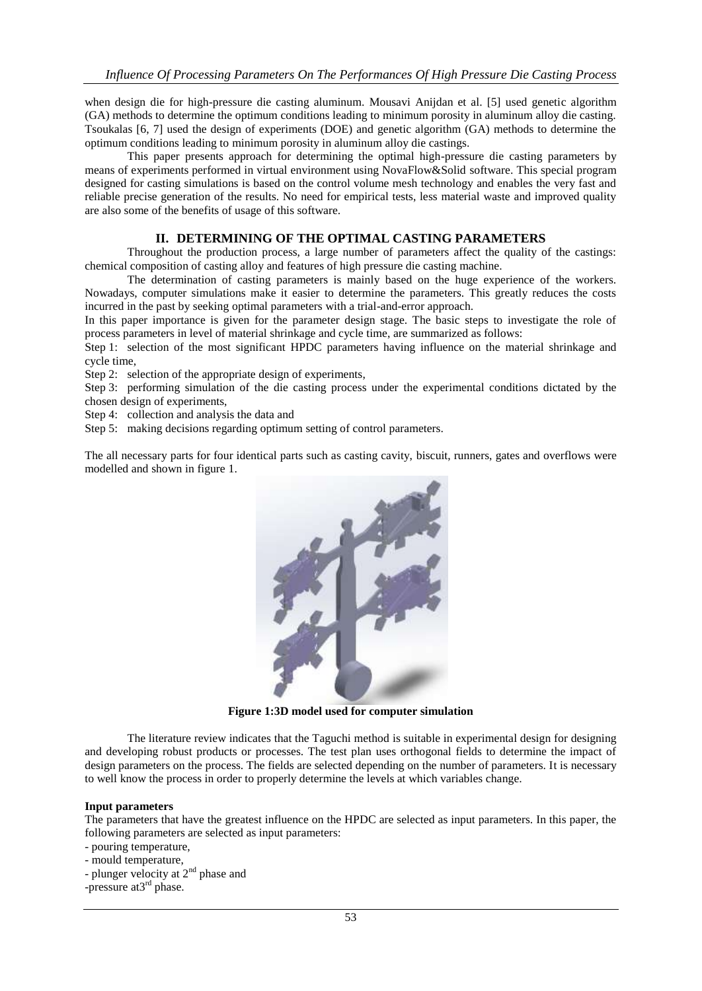when design die for high-pressure die casting aluminum. Mousavi Anijdan et al. [5] used genetic algorithm (GA) methods to determine the optimum conditions leading to minimum porosity in aluminum alloy die casting. Tsoukalas [6, 7] used the design of experiments (DOE) and genetic algorithm (GA) methods to determine the optimum conditions leading to minimum porosity in aluminum alloy die castings.

This paper presents approach for determining the optimal high-pressure die casting parameters by means of experiments performed in virtual environment using NovaFlow&Solid software. This special program designed for casting simulations is based on the control volume mesh technology and enables the very fast and reliable precise generation of the results. No need for empirical tests, less material waste and improved quality are also some of the benefits of usage of this software.

## **II. DETERMINING OF THE OPTIMAL CASTING PARAMETERS**

Throughout the production process, a large number of parameters affect the quality of the castings: chemical composition of casting alloy and features of high pressure die casting machine.

The determination of casting parameters is mainly based on the huge experience of the workers. Nowadays, computer simulations make it easier to determine the parameters. This greatly reduces the costs incurred in the past by seeking optimal parameters with a trial-and-error approach.

In this paper importance is given for the parameter design stage. The basic steps to investigate the role of process parameters in level of material shrinkage and cycle time, are summarized as follows:

Step 1: selection of the most significant HPDC parameters having influence on the material shrinkage and cycle time,

Step 2: selection of the appropriate design of experiments,

Step 3: performing simulation of the die casting process under the experimental conditions dictated by the chosen design of experiments,

Step 4: collection and analysis the data and

Step 5: making decisions regarding optimum setting of control parameters.

The all necessary parts for four identical parts such as casting cavity, biscuit, runners, gates and overflows were modelled and shown in figure 1.



**Figure 1:3D model used for computer simulation**

The literature review indicates that the Taguchi method is suitable in experimental design for designing and developing robust products or processes. The test plan uses orthogonal fields to determine the impact of design parameters on the process. The fields are selected depending on the number of parameters. It is necessary to well know the process in order to properly determine the levels at which variables change.

#### **Input parameters**

The parameters that have the greatest influence on the HPDC are selected as input parameters. In this paper, the following parameters are selected as input parameters:

- pouring temperature,

- mould temperature,
- plunger velocity at 2<sup>nd</sup> phase and

-pressure at  $3<sup>rd</sup>$  phase.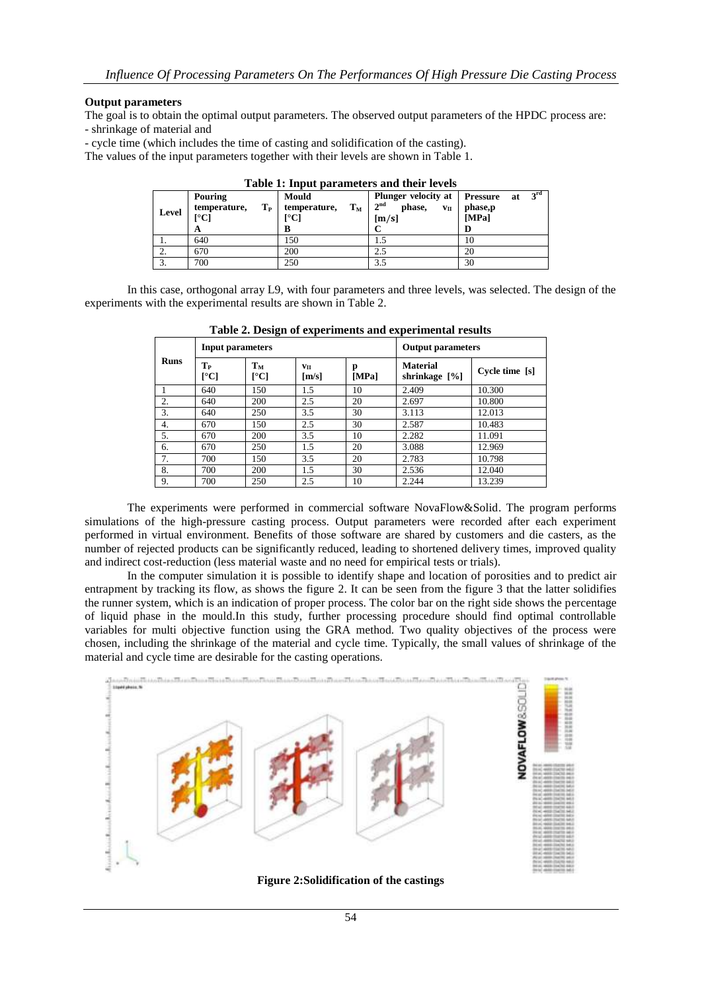## **Output parameters**

The goal is to obtain the optimal output parameters. The observed output parameters of the HPDC process are:

- shrinkage of material and

- cycle time (which includes the time of casting and solidification of the casting).

The values of the input parameters together with their levels are shown in Table 1.

| Table 1. Hiput parameters and their revels |                                                   |                                        |                                                                                        |                                                               |  |  |  |
|--------------------------------------------|---------------------------------------------------|----------------------------------------|----------------------------------------------------------------------------------------|---------------------------------------------------------------|--|--|--|
| Level                                      | <b>Pouring</b><br>Tр<br>temperature,<br>[°C]<br>A | Mould<br>$T_M$<br>temperature,<br>r°C1 | Plunger velocity at<br>2 <sub>nd</sub><br>phase,<br>$\mathbf{v}_{\mathbf{H}}$<br>[m/s] | 3 <sup>rd</sup><br><b>Pressure</b><br>-at<br>phase,p<br>[MPa] |  |  |  |
| .,                                         | 640                                               | 150                                    | 1.5                                                                                    | 10                                                            |  |  |  |
| ۷.                                         | 670                                               | 200                                    | 2.5                                                                                    | 20                                                            |  |  |  |
| J.                                         | 700                                               | 250                                    | 3.5                                                                                    | 30                                                            |  |  |  |

**Table 1: Input parameters and their levels**

In this case, orthogonal array L9, with four parameters and three levels, was selected. The design of the experiments with the experimental results are shown in Table 2.

| <b>Runs</b> | <b>Input parameters</b> |               |             | <b>Output parameters</b> |                                     |                |
|-------------|-------------------------|---------------|-------------|--------------------------|-------------------------------------|----------------|
|             | $T_{P}$<br>r°C1         | $T_M$<br>ſ°Cl | Vп<br>[m/s] | p<br>[MPa]               | <b>Material</b><br>shrinkage $[\%]$ | Cycle time [s] |
|             | 640                     | 150           | 1.5         | 10                       | 2.409                               | 10.300         |
| 2.          | 640                     | 200           | 2.5         | 20                       | 2.697                               | 10.800         |
| 3.          | 640                     | 250           | 3.5         | 30                       | 3.113                               | 12.013         |
| 4.          | 670                     | 150           | 2.5         | 30                       | 2.587                               | 10.483         |
| 5.          | 670                     | 200           | 3.5         | 10                       | 2.282                               | 11.091         |
| 6.          | 670                     | 250           | 1.5         | 20                       | 3.088                               | 12.969         |
| 7.          | 700                     | 150           | 3.5         | 20                       | 2.783                               | 10.798         |
| 8.          | 700                     | 200           | 1.5         | 30                       | 2.536                               | 12.040         |
| 9.          | 700                     | 250           | 2.5         | 10                       | 2.244                               | 13.239         |

The experiments were performed in commercial software NovaFlow&Solid. The program performs simulations of the high-pressure casting process. Output parameters were recorded after each experiment performed in virtual environment. Benefits of those software are shared by customers and die casters, as the number of rejected products can be significantly reduced, leading to shortened delivery times, improved quality and indirect cost-reduction (less material waste and no need for empirical tests or trials).

In the computer simulation it is possible to identify shape and location of porosities and to predict air entrapment by tracking its flow, as shows the figure 2. It can be seen from the figure 3 that the latter solidifies the runner system, which is an indication of proper process. The color bar on the right side shows the percentage of liquid phase in the mould.In this study, further processing procedure should find optimal controllable variables for multi objective function using the GRA method. Two quality objectives of the process were chosen, including the shrinkage of the material and cycle time. Typically, the small values of shrinkage of the material and cycle time are desirable for the casting operations.



**Figure 2:Solidification of the castings**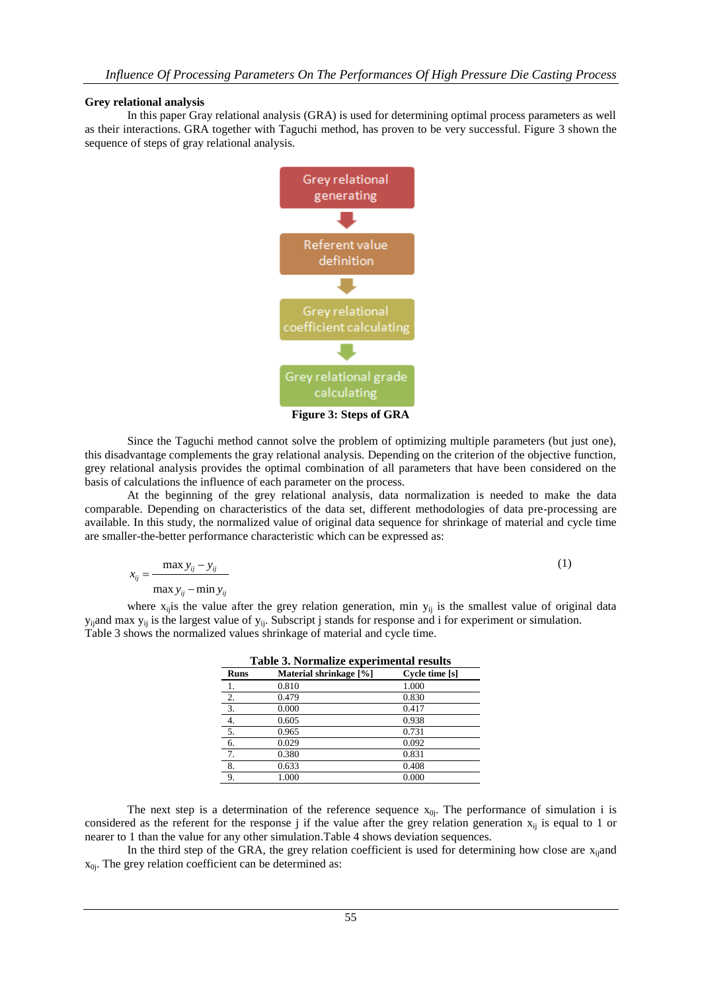#### **Grey relational analysis**

*x*

In this paper Gray relational analysis (GRA) is used for determining optimal process parameters as well as their interactions. GRA together with Taguchi method, has proven to be very successful. Figure 3 shown the sequence of steps of gray relational analysis.



**Figure 3: Steps of GRA**

Since the Taguchi method cannot solve the problem of optimizing multiple parameters (but just one), this disadvantage complements the gray relational analysis. Depending on the criterion of the objective function, grey relational analysis provides the optimal combination of all parameters that have been considered on the basis of calculations the influence of each parameter on the process.

At the beginning of the grey relational analysis, data normalization is needed to make the data comparable. Depending on characteristics of the data set, different methodologies of data pre-processing are available. In this study, the normalized value of original data sequence for shrinkage of material and cycle time are smaller-the-better performance characteristic which can be expressed as:

$$
y_{ij} = \frac{\max y_{ij} - y_{ij}}{\max y_{ij} - \min y_{ij}}\tag{1}
$$

where  $x_{ij}$  is the value after the grey relation generation, min  $y_{ij}$  is the smallest value of original data y<sub>ij</sub>and max y<sub>ij</sub> is the largest value of y<sub>ij</sub>. Subscript j stands for response and i for experiment or simulation. Table 3 shows the normalized values shrinkage of material and cycle time.

| Table 3. Normalize experimental results |                        |                |  |  |
|-----------------------------------------|------------------------|----------------|--|--|
| <b>Runs</b>                             | Material shrinkage [%] | Cycle time [s] |  |  |
| 1.                                      | 0.810                  | 1.000          |  |  |
| 2.                                      | 0.479                  | 0.830          |  |  |
| $\overline{3}$ .                        | 0.000                  | 0.417          |  |  |
| $\overline{4}$ .                        | 0.605                  | 0.938          |  |  |
| 5.                                      | 0.965                  | 0.731          |  |  |
| $\overline{6}$                          | 0.029                  | 0.092          |  |  |
| 7.                                      | 0.380                  | 0.831          |  |  |
| 8.                                      | 0.633                  | 0.408          |  |  |
| 9.                                      | 1.000                  | 0.000          |  |  |

The next step is a determination of the reference sequence  $x_{0j}$ . The performance of simulation i is considered as the referent for the response j if the value after the grey relation generation  $x_{ij}$  is equal to 1 or nearer to 1 than the value for any other simulation.Table 4 shows deviation sequences.

In the third step of the GRA, the grey relation coefficient is used for determining how close are x<sub>ij</sub>and  $x_{0i}$ . The grey relation coefficient can be determined as: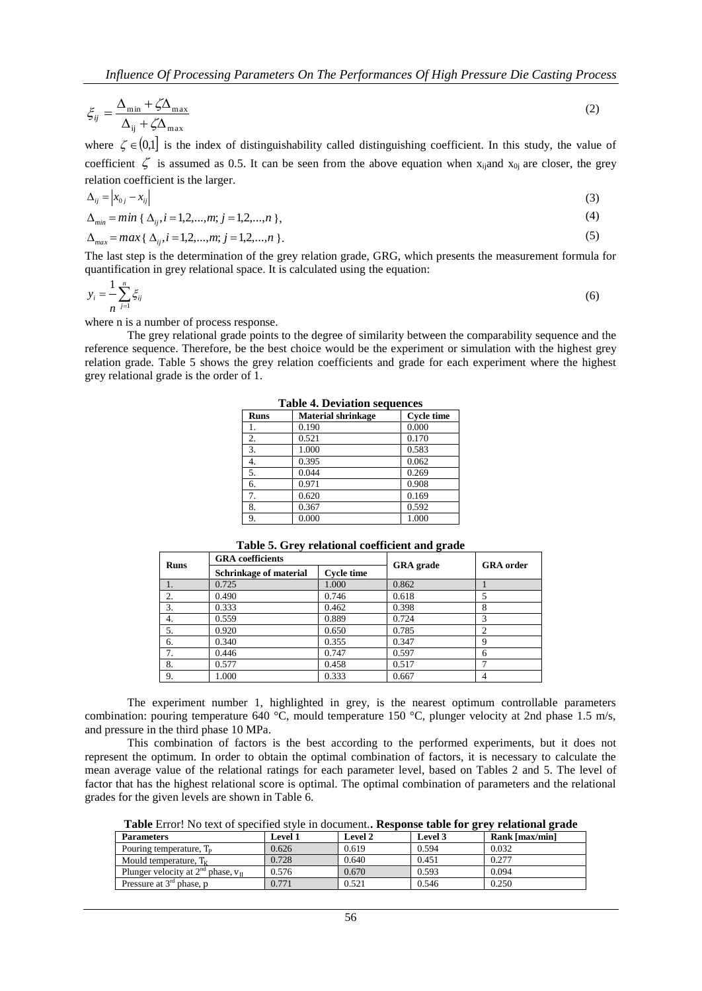$$
\xi_{ij} = \frac{\Delta_{\min} + \zeta \Delta_{\max}}{\Delta_{ij} + \zeta \Delta_{\max}}\tag{2}
$$

where  $\zeta \in (0,1]$  is the index of distinguishability called distinguishing coefficient. In this study, the value of coefficient  $\zeta$  is assumed as 0.5. It can be seen from the above equation when  $x_{ij}$  and  $x_{0j}$  are closer, the grey relation coefficient is the larger.

$$
\Delta_{ij} = \left| x_{0j} - x_{ij} \right|
$$
\n
$$
\Delta_{min} = \min \{ \Delta_{ij}, i = 1, 2, ..., m; j = 1, 2, ..., n \},
$$
\n(3)

$$
\Delta_{max} = max\{ \Delta_{ij}, i = 1, 2, ..., m; j = 1, 2, ..., n \}.
$$
\n(5)

The last step is the determination of the grey relation grade, GRG, which presents the measurement formula for quantification in grey relational space. It is calculated using the equation:

$$
y_i = -\sum_{j=1}^{n} \xi_{ij} \tag{6}
$$

where n is a number of process response.

The grey relational grade points to the degree of similarity between the comparability sequence and the reference sequence. Therefore, be the best choice would be the experiment or simulation with the highest grey relation grade. Table 5 shows the grey relation coefficients and grade for each experiment where the highest grey relational grade is the order of 1.

| <b>Table 4. Deviation sequences</b> |                           |                   |  |  |
|-------------------------------------|---------------------------|-------------------|--|--|
| <b>Runs</b>                         | <b>Material shrinkage</b> | <b>Cycle time</b> |  |  |
| 1.                                  | 0.190                     | 0.000             |  |  |
| 2.                                  | 0.521                     | 0.170             |  |  |
| 3.                                  | 1.000                     | 0.583             |  |  |
| 4.                                  | 0.395                     | 0.062             |  |  |
| 5.                                  | 0.044                     | 0.269             |  |  |
| 6.                                  | 0.971                     | 0.908             |  |  |
| 7.                                  | 0.620                     | 0.169             |  |  |
| 8.                                  | 0.367                     | 0.592             |  |  |
| 9.                                  | 0.000                     | 1.000             |  |  |

| <b>Runs</b> | <b>GRA</b> coefficients |                   | <b>GRA</b> grade | <b>GRA</b> order |
|-------------|-------------------------|-------------------|------------------|------------------|
|             | Schrinkage of material  | <b>Cycle time</b> |                  |                  |
| 1.          | 0.725                   | 1.000             | 0.862            |                  |
| 2.          | 0.490                   | 0.746             | 0.618            |                  |
| 3.          | 0.333                   | 0.462             | 0.398            | 8                |
| 4.          | 0.559                   | 0.889             | 0.724            | 3                |
| 5.          | 0.920                   | 0.650             | 0.785            | ↑                |
| 6.          | 0.340                   | 0.355             | 0.347            | Q                |
| 7.          | 0.446                   | 0.747             | 0.597            | 6                |
| 8.          | 0.577                   | 0.458             | 0.517            |                  |
| 9.          | 1.000                   | 0.333             | 0.667            |                  |

**Table 5. Grey relational coefficient and grade**

The experiment number 1, highlighted in grey, is the nearest optimum controllable parameters combination: pouring temperature 640 °C, mould temperature 150 °C, plunger velocity at 2nd phase 1.5 m/s, and pressure in the third phase 10 MPa.

This combination of factors is the best according to the performed experiments, but it does not represent the optimum. In order to obtain the optimal combination of factors, it is necessary to calculate the mean average value of the relational ratings for each parameter level, based on Tables 2 and 5. The level of factor that has the highest relational score is optimal. The optimal combination of parameters and the relational grades for the given levels are shown in Table 6.

**Table** Error! No text of specified style in document.**. Response table for grey relational grade**

| <b>Parameters</b>                         | <b>Level 1</b> | Level 2 | Level 3 | Rank [max/min] |
|-------------------------------------------|----------------|---------|---------|----------------|
| Pouring temperature, $Tp$                 | 0.626          | 0.619   | 0.594   | 0.032          |
| Mould temperature. $T_v$                  | 0.728          | 0.640   | 0.451   | 0.277          |
| Plunger velocity at $2nd$ phase, $v_{II}$ | 0.576          | 0.670   | 0.593   | 0.094          |
| Pressure at $3^{rd}$ phase, p             | 0.771          | 0.521   | 0.546   | 0.250          |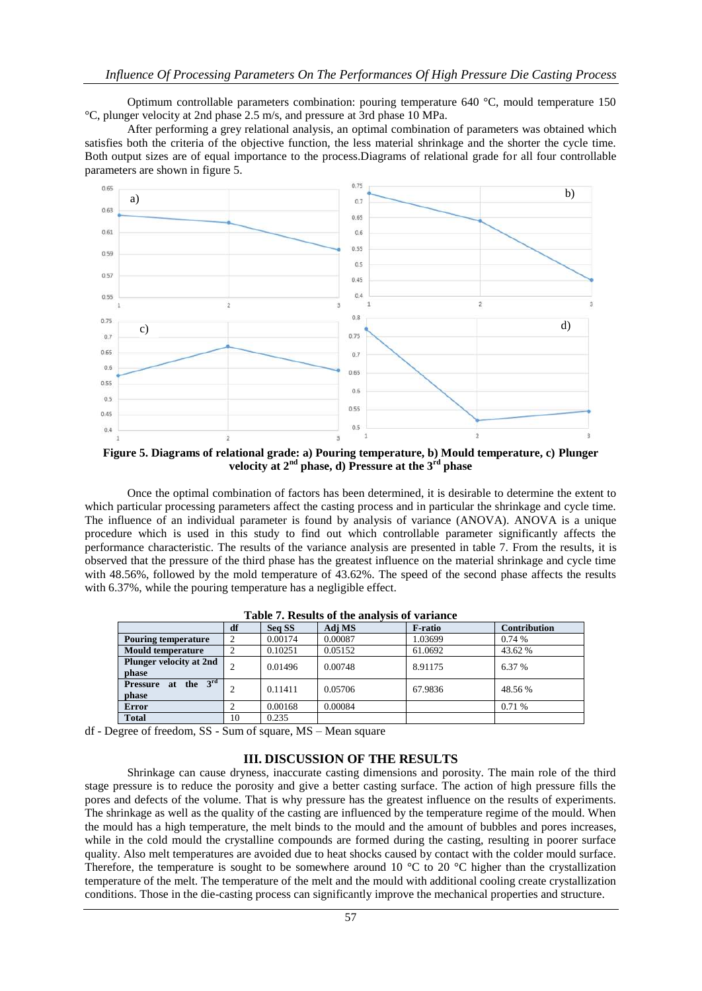Optimum controllable parameters combination: pouring temperature 640 °C, mould temperature 150 °C, plunger velocity at 2nd phase 2.5 m/s, and pressure at 3rd phase 10 MPa.

After performing a grey relational analysis, an optimal combination of parameters was obtained which satisfies both the criteria of the objective function, the less material shrinkage and the shorter the cycle time. Both output sizes are of equal importance to the process.Diagrams of relational grade for all four controllable parameters are shown in figure 5.



**Figure 5. Diagrams of relational grade: a) Pouring temperature, b) Mould temperature, c) Plunger velocity at 2nd phase, d) Pressure at the 3rd phase**

Once the optimal combination of factors has been determined, it is desirable to determine the extent to which particular processing parameters affect the casting process and in particular the shrinkage and cycle time. The influence of an individual parameter is found by analysis of variance (ANOVA). ANOVA is a unique procedure which is used in this study to find out which controllable parameter significantly affects the performance characteristic. The results of the variance analysis are presented in table 7. From the results, it is observed that the pressure of the third phase has the greatest influence on the material shrinkage and cycle time with 48.56%, followed by the mold temperature of 43.62%. The speed of the second phase affects the results with 6.37%, while the pouring temperature has a negligible effect.

|                                             | df | Seq SS  | Adj MS  | <b>F-ratio</b> | <b>Contribution</b> |
|---------------------------------------------|----|---------|---------|----------------|---------------------|
| <b>Pouring temperature</b>                  |    | 0.00174 | 0.00087 | 1.03699        | 0.74%               |
| <b>Mould temperature</b>                    |    | 0.10251 | 0.05152 | 61.0692        | 43.62 %             |
| Plunger velocity at 2nd<br>phase            |    | 0.01496 | 0.00748 | 8.91175        | 6.37 %              |
| at the $3^{rd}$<br><b>Pressure</b><br>phase |    | 0.11411 | 0.05706 | 67.9836        | 48.56 %             |
| <b>Error</b>                                |    | 0.00168 | 0.00084 |                | 0.71%               |
| <b>Total</b>                                | 10 | 0.235   |         |                |                     |

df - Degree of freedom, SS - Sum of square, MS – Mean square

#### **III. DISCUSSION OF THE RESULTS**

Shrinkage can cause dryness, inaccurate casting dimensions and porosity. The main role of the third stage pressure is to reduce the porosity and give a better casting surface. The action of high pressure fills the pores and defects of the volume. That is why pressure has the greatest influence on the results of experiments. The shrinkage as well as the quality of the casting are influenced by the temperature regime of the mould. When the mould has a high temperature, the melt binds to the mould and the amount of bubbles and pores increases, while in the cold mould the crystalline compounds are formed during the casting, resulting in poorer surface quality. Also melt temperatures are avoided due to heat shocks caused by contact with the colder mould surface. Therefore, the temperature is sought to be somewhere around 10  $^{\circ}$ C to 20  $^{\circ}$ C higher than the crystallization temperature of the melt. The temperature of the melt and the mould with additional cooling create crystallization conditions. Those in the die-casting process can significantly improve the mechanical properties and structure.